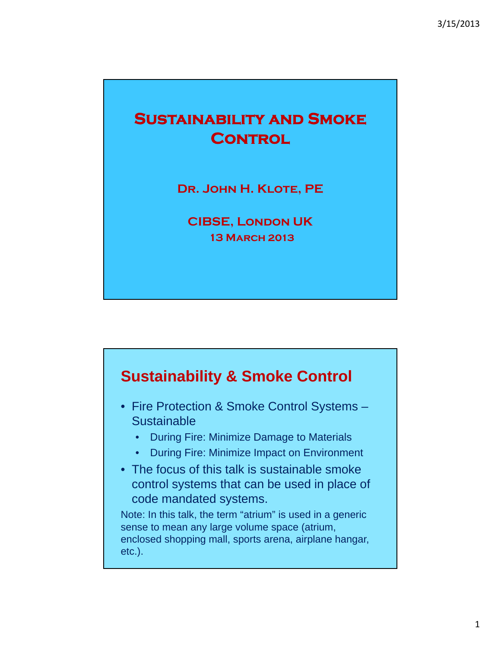# **Sustainability and Smoke CONTROL**

**Dr. John H. Klote, PE**

**CIBSE, London UK 13 March 2013**



- Fire Protection & Smoke Control Systems **Sustainable** 
	- During Fire: Minimize Damage to Materials
	- During Fire: Minimize Impact on Environment
- The focus of this talk is sustainable smoke control systems that can be used in place of code mandated systems.

Note: In this talk, the term "atrium" is used in a generic sense to mean any large volume space (atrium, enclosed shopping mall, sports arena, airplane hangar, etc.).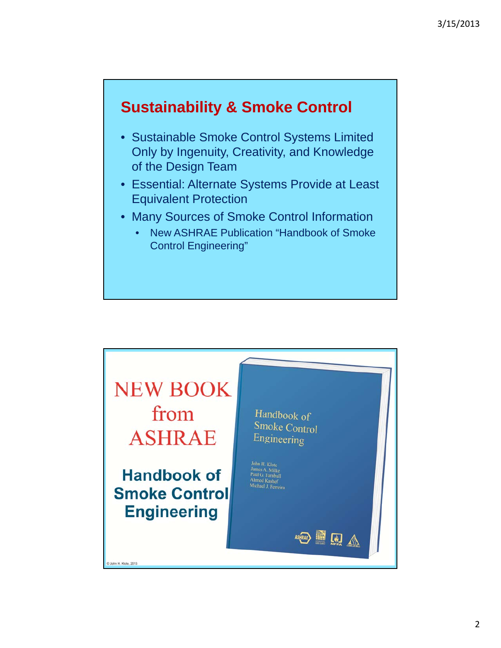### **Sustainability & Smoke Control**

- Sustainable Smoke Control Systems Limited Only by Ingenuity, Creativity, and Knowledge of the Design Team
- Essential: Alternate Systems Provide at Least Equivalent Protection
- Many Sources of Smoke Control Information
	- New ASHRAE Publication "Handbook of Smoke Control Engineering"

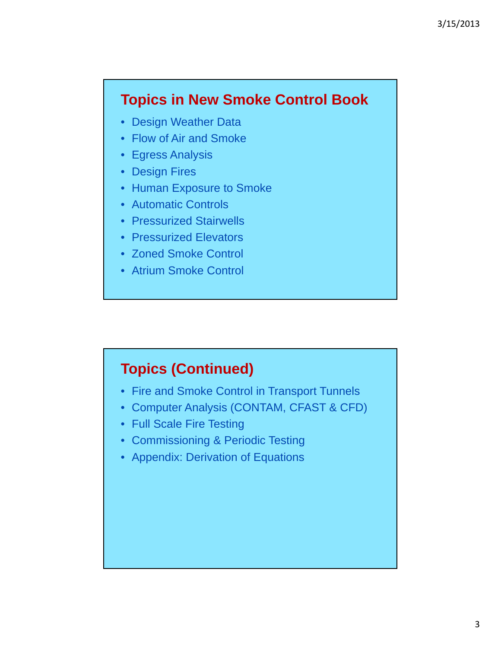#### **Topics in New Smoke Control Book**

- Design Weather Data
- Flow of Air and Smoke
- Egress Analysis
- Design Fires
- Human Exposure to Smoke
- Automatic Controls
- Pressurized Stairwells
- Pressurized Elevators
- Zoned Smoke Control
- Atrium Smoke Control

#### **Topics (Continued)**

- Fire and Smoke Control in Transport Tunnels
- Computer Analysis (CONTAM, CFAST & CFD)
- Full Scale Fire Testing
- Commissioning & Periodic Testing
- Appendix: Derivation of Equations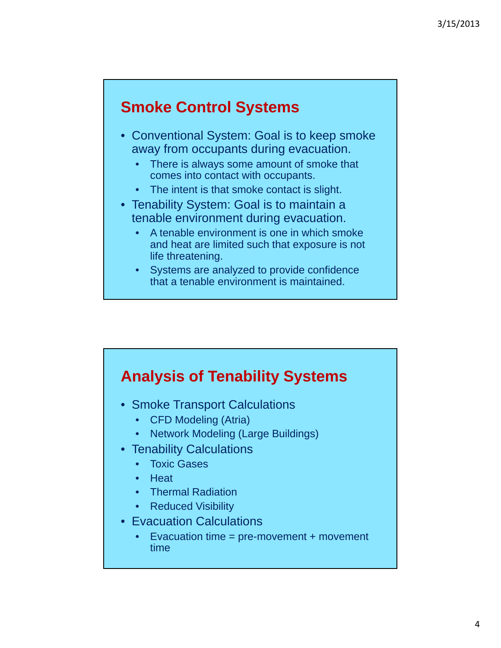### **Smoke Control Systems**

- Conventional System: Goal is to keep smoke away from occupants during evacuation.
	- There is always some amount of smoke that comes into contact with occupants.
	- The intent is that smoke contact is slight.
- Tenability System: Goal is to maintain a tenable environment during evacuation.
	- A tenable environment is one in which smoke and heat are limited such that exposure is not life threatening.
	- Systems are analyzed to provide confidence that a tenable environment is maintained.



- Smoke Transport Calculations
	- CFD Modeling (Atria)
	- Network Modeling (Large Buildings)
- Tenability Calculations
	- Toxic Gases
	- Heat
	- Thermal Radiation
	- Reduced Visibility
- Evacuation Calculations
	- Evacuation time = pre-movement + movement time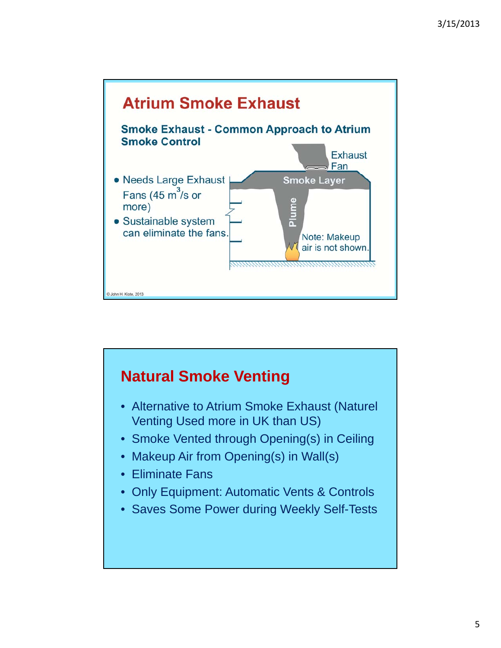

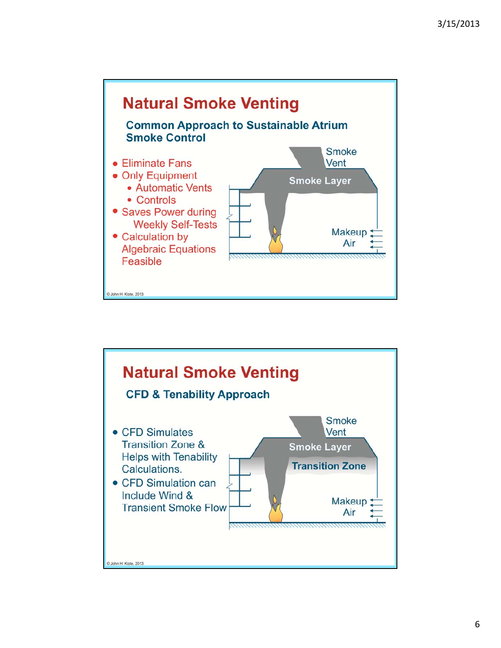

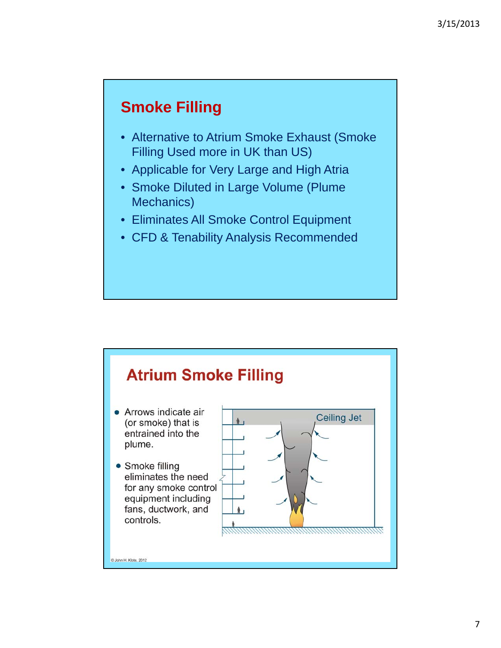### **Smoke Filling**

- Alternative to Atrium Smoke Exhaust (Smoke Filling Used more in UK than US)
- Applicable for Very Large and High Atria
- Smoke Diluted in Large Volume (Plume Mechanics)
- Eliminates All Smoke Control Equipment
- CFD & Tenability Analysis Recommended

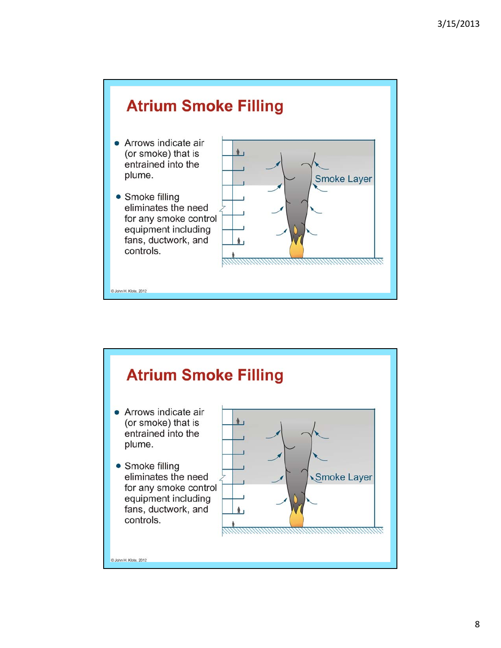

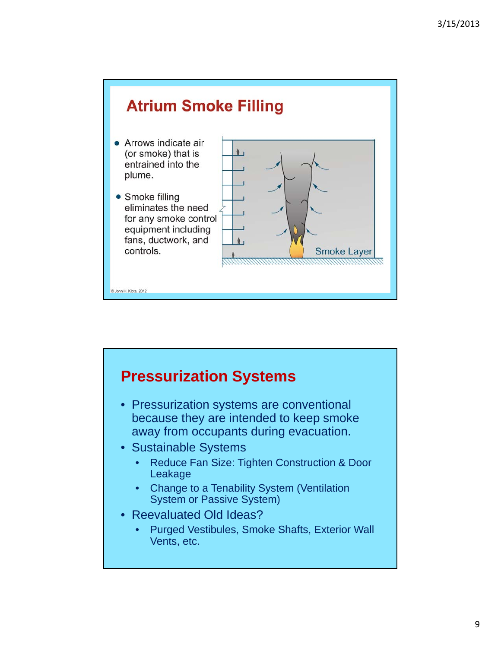

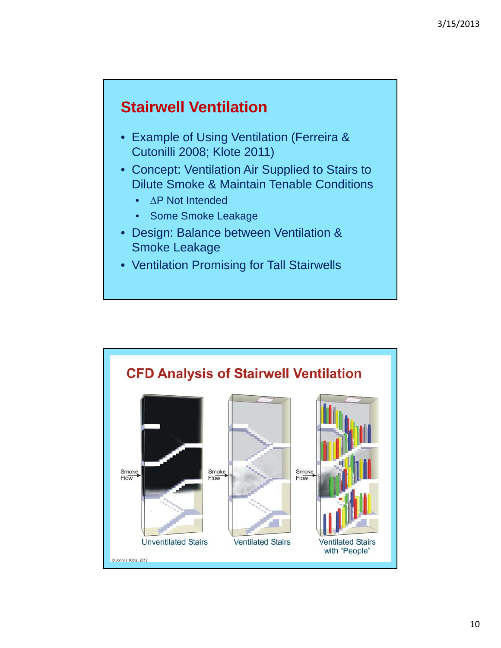### **Stairwell Ventilation**

- Example of Using Ventilation (Ferreira & Cutonilli 2008; Klote 2011)
- Concept: Ventilation Air Supplied to Stairs to Dilute Smoke & Maintain Tenable Conditions
	- $\bullet$   $\wedge$  P Not Intended
	- Some Smoke Leakage
- Design: Balance between Ventilation & Smoke Leakage
- Ventilation Promising for Tall Stairwells